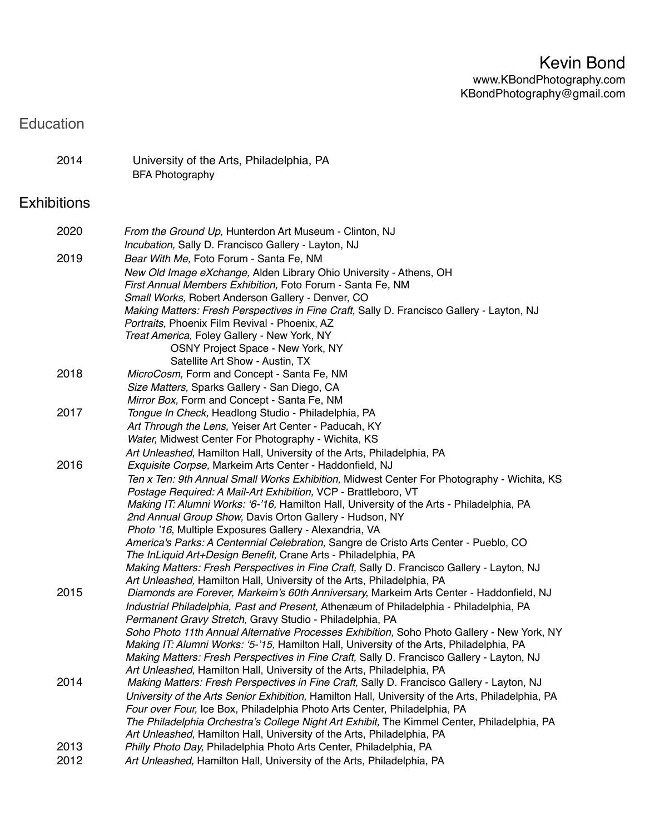## Education

| 2014 | University of the Arts, Philadelphia, PA |  |
|------|------------------------------------------|--|
|      | <b>BFA Photography</b>                   |  |

## **Exhibitions**

| 2020         | From the Ground Up, Hunterdon Art Museum - Clinton, NJ<br>Incubation, Sally D. Francisco Gallery - Layton, NJ                                                                                                                                                                                                                                                                                                                                                                                                                                                                                                                                                                                                                                                              |
|--------------|----------------------------------------------------------------------------------------------------------------------------------------------------------------------------------------------------------------------------------------------------------------------------------------------------------------------------------------------------------------------------------------------------------------------------------------------------------------------------------------------------------------------------------------------------------------------------------------------------------------------------------------------------------------------------------------------------------------------------------------------------------------------------|
| 2019         | Bear With Me, Foto Forum - Santa Fe, NM<br>New Old Image eXchange, Alden Library Ohio University - Athens, OH<br>First Annual Members Exhibition, Foto Forum - Santa Fe, NM<br>Small Works, Robert Anderson Gallery - Denver, CO<br>Making Matters: Fresh Perspectives in Fine Craft, Sally D. Francisco Gallery - Layton, NJ<br>Portraits, Phoenix Film Revival - Phoenix, AZ<br>Treat America, Foley Gallery - New York, NY<br>OSNY Project Space - New York, NY<br>Satellite Art Show - Austin, TX                                                                                                                                                                                                                                                                      |
| 2018         | MicroCosm, Form and Concept - Santa Fe, NM<br>Size Matters, Sparks Gallery - San Diego, CA<br>Mirror Box, Form and Concept - Santa Fe, NM                                                                                                                                                                                                                                                                                                                                                                                                                                                                                                                                                                                                                                  |
| 2017         | Tongue In Check, Headlong Studio - Philadelphia, PA<br>Art Through the Lens, Yeiser Art Center - Paducah, KY<br>Water, Midwest Center For Photography - Wichita, KS<br>Art Unleashed, Hamilton Hall, University of the Arts, Philadelphia, PA                                                                                                                                                                                                                                                                                                                                                                                                                                                                                                                              |
| 2016         | Exquisite Corpse, Markeim Arts Center - Haddonfield, NJ<br>Ten x Ten: 9th Annual Small Works Exhibition, Midwest Center For Photography - Wichita, KS<br>Postage Required: A Mail-Art Exhibition, VCP - Brattleboro, VT<br>Making IT: Alumni Works: '6-'16, Hamilton Hall, University of the Arts - Philadelphia, PA<br>2nd Annual Group Show, Davis Orton Gallery - Hudson, NY<br>Photo '16, Multiple Exposures Gallery - Alexandria, VA<br>America's Parks: A Centennial Celebration, Sangre de Cristo Arts Center - Pueblo, CO<br>The InLiquid Art+Design Benefit, Crane Arts - Philadelphia, PA<br>Making Matters: Fresh Perspectives in Fine Craft, Sally D. Francisco Gallery - Layton, NJ<br>Art Unleashed, Hamilton Hall, University of the Arts, Philadelphia, PA |
| 2015         | Diamonds are Forever, Markeim's 60th Anniversary, Markeim Arts Center - Haddonfield, NJ<br>Industrial Philadelphia, Past and Present, Athenæum of Philadelphia - Philadelphia, PA<br>Permanent Gravy Stretch, Gravy Studio - Philadelphia, PA<br>Soho Photo 11th Annual Alternative Processes Exhibition, Soho Photo Gallery - New York, NY<br>Making IT: Alumni Works: '5-'15, Hamilton Hall, University of the Arts, Philadelphia, PA<br>Making Matters: Fresh Perspectives in Fine Craft, Sally D. Francisco Gallery - Layton, NJ<br>Art Unleashed, Hamilton Hall, University of the Arts, Philadelphia, PA                                                                                                                                                             |
| 2014         | Making Matters: Fresh Perspectives in Fine Craft, Sally D. Francisco Gallery - Layton, NJ<br>University of the Arts Senior Exhibition, Hamilton Hall, University of the Arts, Philadelphia, PA<br>Four over Four, Ice Box, Philadelphia Photo Arts Center, Philadelphia, PA<br>The Philadelphia Orchestra's College Night Art Exhibit, The Kimmel Center, Philadelphia, PA<br>Art Unleashed, Hamilton Hall, University of the Arts, Philadelphia, PA                                                                                                                                                                                                                                                                                                                       |
| 2013<br>2012 | Philly Photo Day, Philadelphia Photo Arts Center, Philadelphia, PA<br>Art Unleashed, Hamilton Hall, University of the Arts, Philadelphia, PA                                                                                                                                                                                                                                                                                                                                                                                                                                                                                                                                                                                                                               |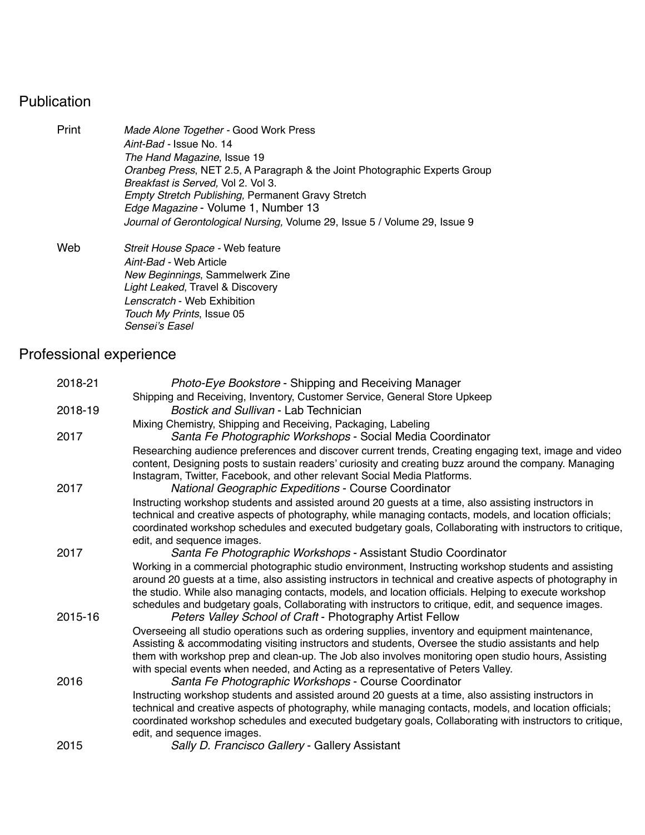# Publication

| Print | Made Alone Together - Good Work Press<br>Aint-Bad - Issue No. 14                      |  |  |
|-------|---------------------------------------------------------------------------------------|--|--|
|       |                                                                                       |  |  |
|       | <i>Oranbeg Press, NET 2.5, A Paragraph &amp; the Joint Photographic Experts Group</i> |  |  |
|       | Breakfast is Served, Vol 2. Vol 3.                                                    |  |  |
|       | <b>Empty Stretch Publishing, Permanent Gravy Stretch</b>                              |  |  |
|       | Edge Magazine - Volume 1, Number 13                                                   |  |  |
|       | Journal of Gerontological Nursing, Volume 29, Issue 5 / Volume 29, Issue 9            |  |  |
| Web   | Streit House Space - Web feature                                                      |  |  |
|       | Aint-Bad - Web Article                                                                |  |  |
|       | New Beginnings, Sammelwerk Zine                                                       |  |  |
|       | Light Leaked, Travel & Discovery                                                      |  |  |
|       | Lenscratch - Web Exhibition                                                           |  |  |
|       | Touch My Prints, Issue 05                                                             |  |  |
|       | Sensei's Easel                                                                        |  |  |

### Professional experience

| 2018-21 | Photo-Eye Bookstore - Shipping and Receiving Manager                                                                                                                                                                |
|---------|---------------------------------------------------------------------------------------------------------------------------------------------------------------------------------------------------------------------|
|         | Shipping and Receiving, Inventory, Customer Service, General Store Upkeep                                                                                                                                           |
| 2018-19 | Bostick and Sullivan - Lab Technician                                                                                                                                                                               |
|         | Mixing Chemistry, Shipping and Receiving, Packaging, Labeling                                                                                                                                                       |
| 2017    | Santa Fe Photographic Workshops - Social Media Coordinator                                                                                                                                                          |
|         | Researching audience preferences and discover current trends, Creating engaging text, image and video                                                                                                               |
|         | content, Designing posts to sustain readers' curiosity and creating buzz around the company. Managing                                                                                                               |
|         | Instagram, Twitter, Facebook, and other relevant Social Media Platforms.                                                                                                                                            |
| 2017    | <b>National Geographic Expeditions - Course Coordinator</b>                                                                                                                                                         |
|         | Instructing workshop students and assisted around 20 guests at a time, also assisting instructors in                                                                                                                |
|         | technical and creative aspects of photography, while managing contacts, models, and location officials;<br>coordinated workshop schedules and executed budgetary goals, Collaborating with instructors to critique, |
|         | edit, and sequence images.                                                                                                                                                                                          |
| 2017    | Santa Fe Photographic Workshops - Assistant Studio Coordinator                                                                                                                                                      |
|         | Working in a commercial photographic studio environment, Instructing workshop students and assisting                                                                                                                |
|         | around 20 guests at a time, also assisting instructors in technical and creative aspects of photography in                                                                                                          |
|         | the studio. While also managing contacts, models, and location officials. Helping to execute workshop                                                                                                               |
|         | schedules and budgetary goals, Collaborating with instructors to critique, edit, and sequence images.                                                                                                               |
| 2015-16 | Peters Valley School of Craft - Photography Artist Fellow                                                                                                                                                           |
|         | Overseeing all studio operations such as ordering supplies, inventory and equipment maintenance,                                                                                                                    |
|         | Assisting & accommodating visiting instructors and students, Oversee the studio assistants and help                                                                                                                 |
|         | them with workshop prep and clean-up. The Job also involves monitoring open studio hours, Assisting                                                                                                                 |
| 2016    | with special events when needed, and Acting as a representative of Peters Valley.<br>Santa Fe Photographic Workshops - Course Coordinator                                                                           |
|         | Instructing workshop students and assisted around 20 guests at a time, also assisting instructors in                                                                                                                |
|         | technical and creative aspects of photography, while managing contacts, models, and location officials;                                                                                                             |
|         | coordinated workshop schedules and executed budgetary goals, Collaborating with instructors to critique,                                                                                                            |
|         | edit, and sequence images.                                                                                                                                                                                          |
| 2015    | Sally D. Francisco Gallery - Gallery Assistant                                                                                                                                                                      |